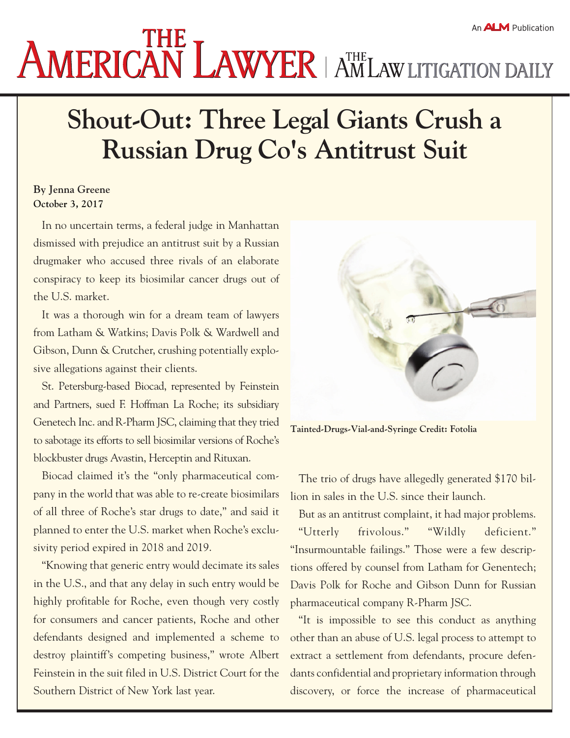## **AMERICAN LAWYER** AMLAW LITIGATION DAILY

## **Shout-Out: Three Legal Giants Crush a Russian Drug Co's Antitrust Suit**

## **By Jenna Greene October 3, 2017**

In no uncertain terms, a federal judge in Manhattan dismissed with prejudice an antitrust suit by a Russian drugmaker who accused three rivals of an elaborate conspiracy to keep its biosimilar cancer drugs out of the U.S. market.

It was a thorough win for a dream team of lawyers from Latham & Watkins; Davis Polk & Wardwell and Gibson, Dunn & Crutcher, crushing potentially explosive allegations against their clients.

St. Petersburg-based Biocad, represented by Feinstein and Partners, sued F. Hoffman La Roche; its subsidiary Genetech Inc. and R-Pharm JSC, claiming that they tried to sabotage its efforts to sell biosimilar versions of Roche's blockbuster drugs Avastin, Herceptin and Rituxan.

Biocad claimed it's the "only pharmaceutical company in the world that was able to re-create biosimilars of all three of Roche's star drugs to date," and said it planned to enter the U.S. market when Roche's exclusivity period expired in 2018 and 2019.

"Knowing that generic entry would decimate its sales in the U.S., and that any delay in such entry would be highly profitable for Roche, even though very costly for consumers and cancer patients, Roche and other defendants designed and implemented a scheme to destroy plaintiff's competing business," wrote Albert Feinstein in the suit filed in U.S. District Court for the Southern District of New York last year.



**Tainted-Drugs-Vial-and-Syringe Credit: Fotolia**

The trio of drugs have allegedly generated \$170 billion in sales in the U.S. since their launch.

But as an antitrust complaint, it had major problems. "Utterly frivolous." "Wildly deficient." "Insurmountable failings." Those were a few descriptions offered by counsel from Latham for Genentech; Davis Polk for Roche and Gibson Dunn for Russian pharmaceutical company R-Pharm JSC.

"It is impossible to see this conduct as anything other than an abuse of U.S. legal process to attempt to extract a settlement from defendants, procure defendants confidential and proprietary information through discovery, or force the increase of pharmaceutical